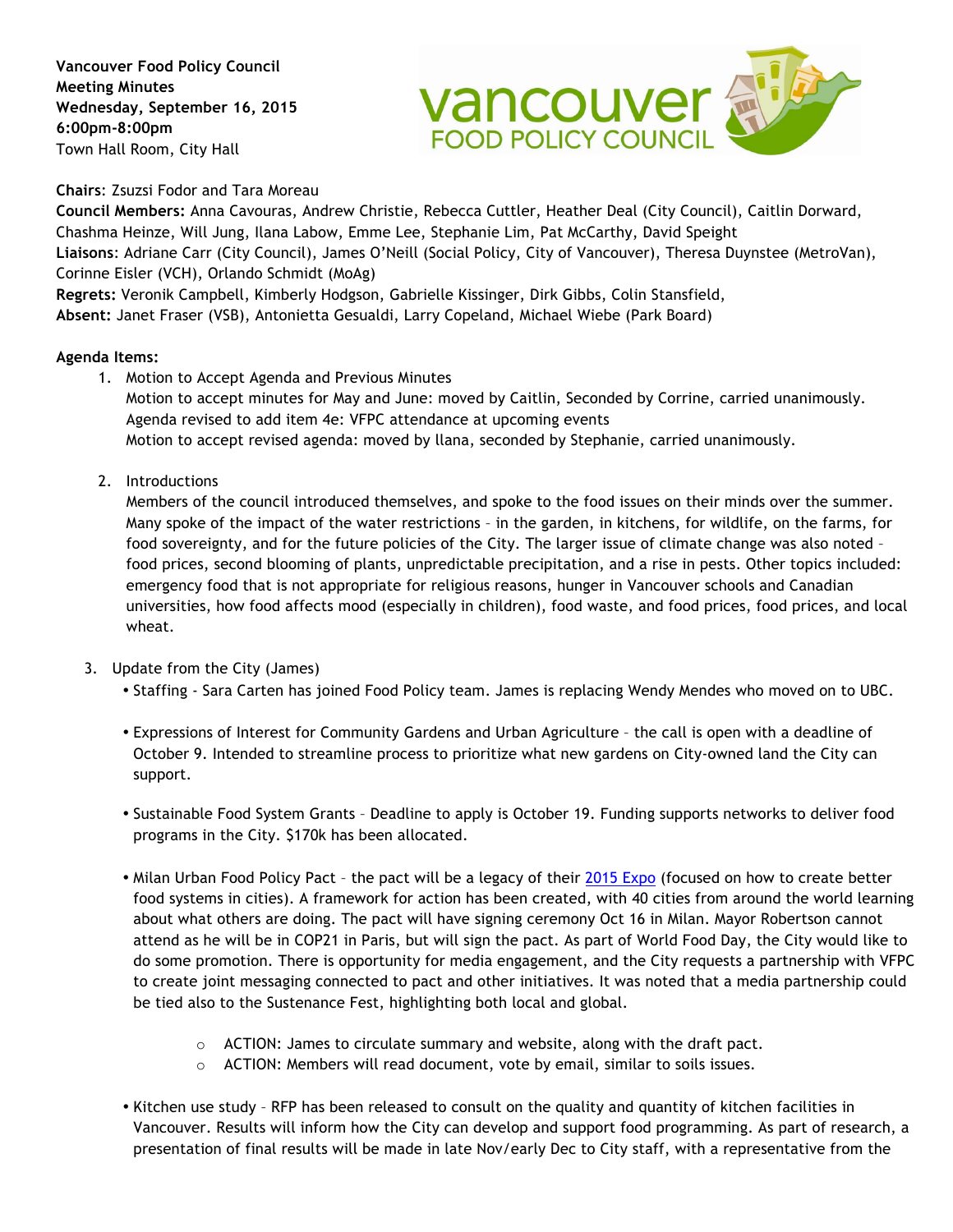**Vancouver Food Policy Council Meeting Minutes Wednesday, September 16, 2015 6:00pm-8:00pm** Town Hall Room, City Hall



**Chairs**: Zsuzsi Fodor and Tara Moreau

**Council Members:** Anna Cavouras, Andrew Christie, Rebecca Cuttler, Heather Deal (City Council), Caitlin Dorward, Chashma Heinze, Will Jung, Ilana Labow, Emme Lee, Stephanie Lim, Pat McCarthy, David Speight **Liaisons**: Adriane Carr (City Council), James O'Neill (Social Policy, City of Vancouver), Theresa Duynstee (MetroVan), Corinne Eisler (VCH), Orlando Schmidt (MoAg)

**Regrets:** Veronik Campbell, Kimberly Hodgson, Gabrielle Kissinger, Dirk Gibbs, Colin Stansfield,

**Absent:** Janet Fraser (VSB), Antonietta Gesualdi, Larry Copeland, Michael Wiebe (Park Board)

## **Agenda Items:**

- 1. Motion to Accept Agenda and Previous Minutes Motion to accept minutes for May and June: moved by Caitlin, Seconded by Corrine, carried unanimously. Agenda revised to add item 4e: VFPC attendance at upcoming events Motion to accept revised agenda: moved by llana, seconded by Stephanie, carried unanimously.
- 2. Introductions

Members of the council introduced themselves, and spoke to the food issues on their minds over the summer. Many spoke of the impact of the water restrictions – in the garden, in kitchens, for wildlife, on the farms, for food sovereignty, and for the future policies of the City. The larger issue of climate change was also noted – food prices, second blooming of plants, unpredictable precipitation, and a rise in pests. Other topics included: emergency food that is not appropriate for religious reasons, hunger in Vancouver schools and Canadian universities, how food affects mood (especially in children), food waste, and food prices, food prices, and local wheat.

- 3. Update from the City (James)
	- Staffing Sara Carten has joined Food Policy team. James is replacing Wendy Mendes who moved on to UBC.
	- Expressions of Interest for Community Gardens and Urban Agriculture the call is open with a deadline of October 9. Intended to streamline process to prioritize what new gardens on City-owned land the City can support.
	- Sustainable Food System Grants Deadline to apply is October 19. Funding supports networks to deliver food programs in the City. \$170k has been allocated.
	- Milan Urban Food Policy Pact the pact will be a legacy of their 2015 Expo (focused on how to create better food systems in cities). A framework for action has been created, with 40 cities from around the world learning about what others are doing. The pact will have signing ceremony Oct 16 in Milan. Mayor Robertson cannot attend as he will be in COP21 in Paris, but will sign the pact. As part of World Food Day, the City would like to do some promotion. There is opportunity for media engagement, and the City requests a partnership with VFPC to create joint messaging connected to pact and other initiatives. It was noted that a media partnership could be tied also to the Sustenance Fest, highlighting both local and global.
		- o ACTION: James to circulate summary and website, along with the draft pact.
		- o ACTION: Members will read document, vote by email, similar to soils issues.
	- Kitchen use study RFP has been released to consult on the quality and quantity of kitchen facilities in Vancouver. Results will inform how the City can develop and support food programming. As part of research, a presentation of final results will be made in late Nov/early Dec to City staff, with a representative from the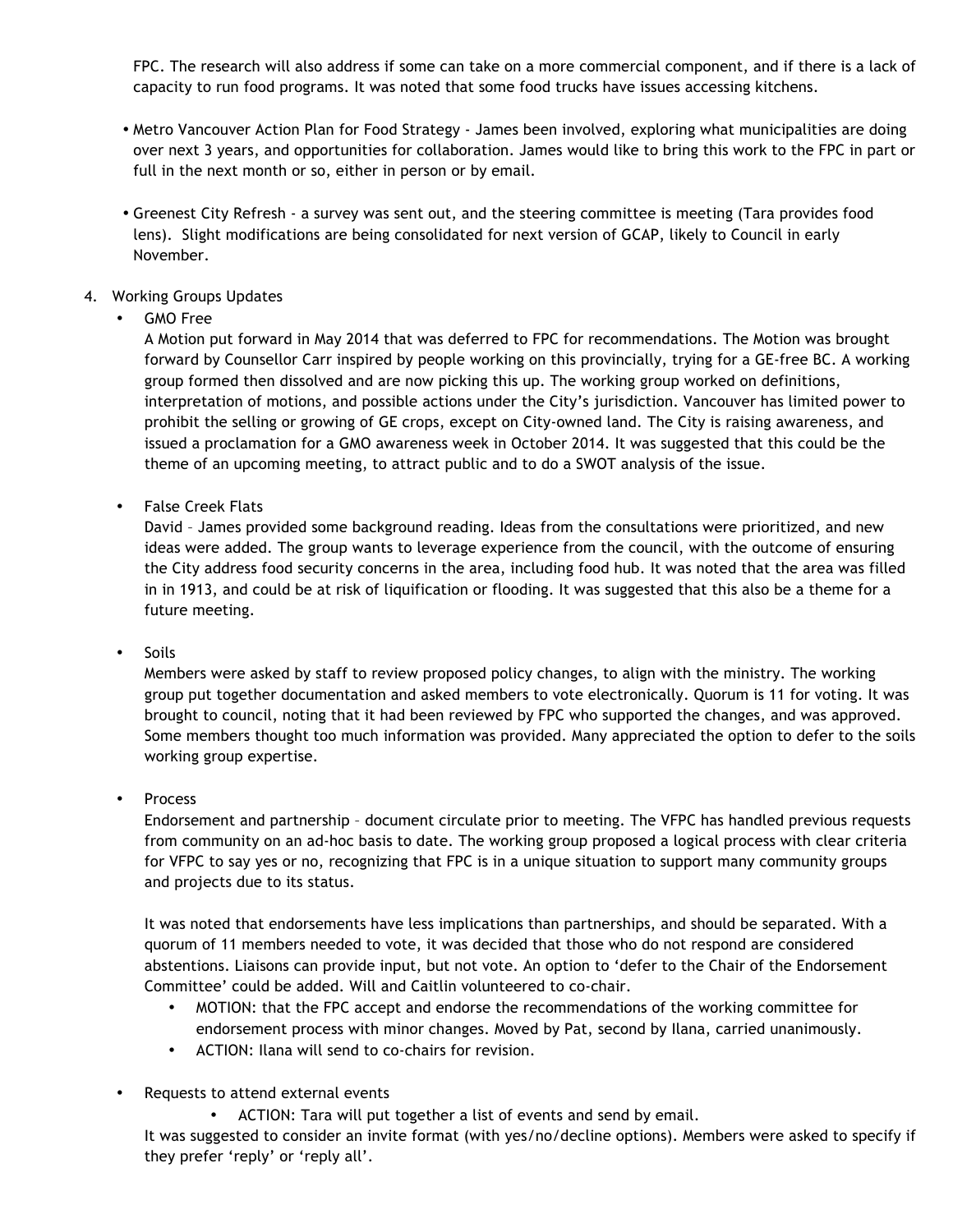FPC. The research will also address if some can take on a more commercial component, and if there is a lack of capacity to run food programs. It was noted that some food trucks have issues accessing kitchens.

- Metro Vancouver Action Plan for Food Strategy James been involved, exploring what municipalities are doing over next 3 years, and opportunities for collaboration. James would like to bring this work to the FPC in part or full in the next month or so, either in person or by email.
- Greenest City Refresh a survey was sent out, and the steering committee is meeting (Tara provides food lens). Slight modifications are being consolidated for next version of GCAP, likely to Council in early November.
- 4. Working Groups Updates
	- GMO Free

A Motion put forward in May 2014 that was deferred to FPC for recommendations. The Motion was brought forward by Counsellor Carr inspired by people working on this provincially, trying for a GE-free BC. A working group formed then dissolved and are now picking this up. The working group worked on definitions, interpretation of motions, and possible actions under the City's jurisdiction. Vancouver has limited power to prohibit the selling or growing of GE crops, except on City-owned land. The City is raising awareness, and issued a proclamation for a GMO awareness week in October 2014. It was suggested that this could be the theme of an upcoming meeting, to attract public and to do a SWOT analysis of the issue.

• False Creek Flats

David – James provided some background reading. Ideas from the consultations were prioritized, and new ideas were added. The group wants to leverage experience from the council, with the outcome of ensuring the City address food security concerns in the area, including food hub. It was noted that the area was filled in in 1913, and could be at risk of liquification or flooding. It was suggested that this also be a theme for a future meeting.

• Soils

Members were asked by staff to review proposed policy changes, to align with the ministry. The working group put together documentation and asked members to vote electronically. Quorum is 11 for voting. It was brought to council, noting that it had been reviewed by FPC who supported the changes, and was approved. Some members thought too much information was provided. Many appreciated the option to defer to the soils working group expertise.

• Process

Endorsement and partnership – document circulate prior to meeting. The VFPC has handled previous requests from community on an ad-hoc basis to date. The working group proposed a logical process with clear criteria for VFPC to say yes or no, recognizing that FPC is in a unique situation to support many community groups and projects due to its status.

It was noted that endorsements have less implications than partnerships, and should be separated. With a quorum of 11 members needed to vote, it was decided that those who do not respond are considered abstentions. Liaisons can provide input, but not vote. An option to 'defer to the Chair of the Endorsement Committee' could be added. Will and Caitlin volunteered to co-chair.

- MOTION: that the FPC accept and endorse the recommendations of the working committee for endorsement process with minor changes. Moved by Pat, second by Ilana, carried unanimously.
- ACTION: Ilana will send to co-chairs for revision.
- Requests to attend external events
	- ACTION: Tara will put together a list of events and send by email.

It was suggested to consider an invite format (with yes/no/decline options). Members were asked to specify if they prefer 'reply' or 'reply all'.